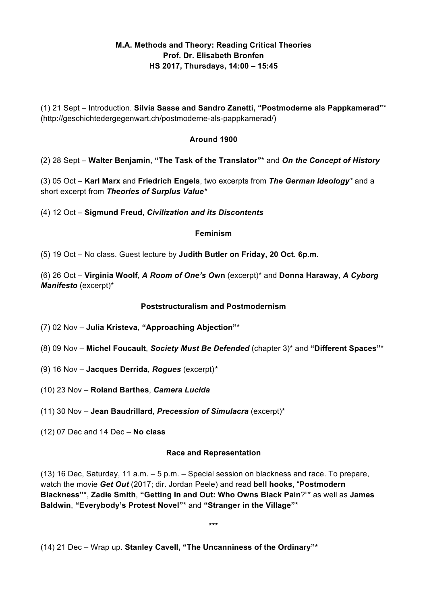# **M.A. Methods and Theory: Reading Critical Theories Prof. Dr. Elisabeth Bronfen HS 2017, Thursdays, 14:00 – 15:45**

(1) 21 Sept – Introduction. **Silvia Sasse and Sandro Zanetti, "Postmoderne als Pappkamerad"**\* (http://geschichtedergegenwart.ch/postmoderne-als-pappkamerad/)

### **Around 1900**

(2) 28 Sept – **Walter Benjamin**, **"The Task of the Translator"**\* and *On the Concept of History*

(3) 05 Oct – **Karl Marx** and **Friedrich Engels**, two excerpts from *The German Ideology\** and a short excerpt from *Theories of Surplus Value\**

(4) 12 Oct – **Sigmund Freud**, *Civilization and its Discontents*

### **Feminism**

(5) 19 Oct – No class. Guest lecture by **Judith Butler on Friday, 20 Oct. 6p.m.**

(6) 26 Oct – **Virginia Woolf**, *A Room of One's O***wn** (excerpt)\* and **Donna Haraway**, *A Cyborg Manifesto* (excerpt)\*

### **Poststructuralism and Postmodernism**

- (7) 02 Nov **Julia Kristeva**, **"Approaching Abjection"**\*
- (8) 09 Nov **Michel Foucault**, *Society Must Be Defended* (chapter 3)\* and **"Different Spaces"**\*
- (9) 16 Nov **Jacques Derrida**, *Rogues* (excerpt)*\**
- (10) 23 Nov **Roland Barthes**, *Camera Lucida*
- (11) 30 Nov **Jean Baudrillard**, *Precession of Simulacra* (excerpt)\*
- (12) 07 Dec and 14 Dec **No class**

### **Race and Representation**

(13) 16 Dec, Saturday, 11 a.m. – 5 p.m. – Special session on blackness and race. To prepare, watch the movie *Get Out* (2017; dir. Jordan Peele) and read **bell hooks**, "**Postmodern Blackness"**\*, **Zadie Smith**, **"Getting In and Out: Who Owns Black Pain**?"\* as well as **James Baldwin**, **"Everybody's Protest Novel"**\* and **"Stranger in the Village"**\*

**\*\*\***

(14) 21 Dec – Wrap up. **Stanley Cavell, "The Uncanniness of the Ordinary"\***